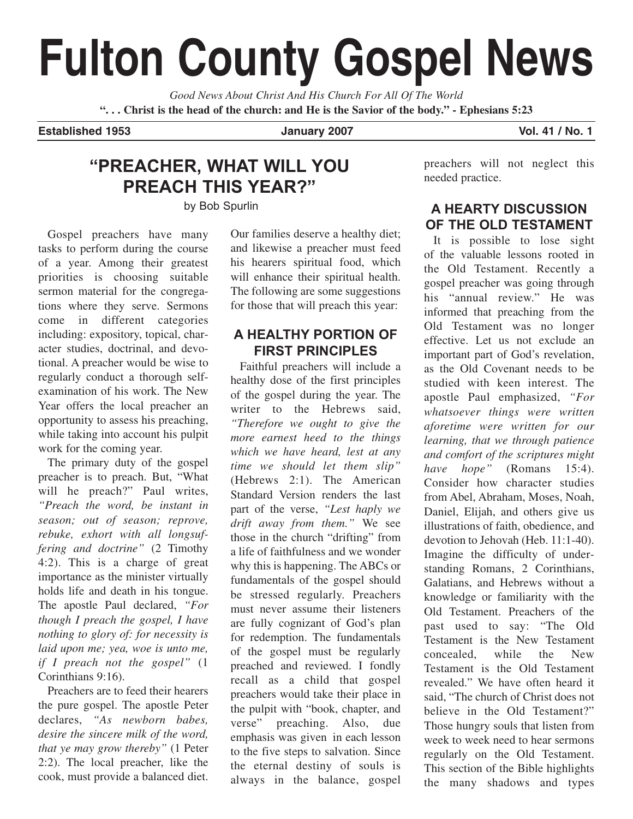# **Fulton County Gospel News**

*Good News About Christ And His Church For All Of The World* **". . . Christ is the head of the church: and He is the Savior of the body." - Ephesians 5:23**

#### **Established 1953 January 2007 Vol. 41 / No. 1**

## **"PREACHER, WHAT WILL YOU PREACH THIS YEAR?"**

by Bob Spurlin

Gospel preachers have many tasks to perform during the course of a year. Among their greatest priorities is choosing suitable sermon material for the congregations where they serve. Sermons come in different categories including: expository, topical, character studies, doctrinal, and devotional. A preacher would be wise to regularly conduct a thorough selfexamination of his work. The New Year offers the local preacher an opportunity to assess his preaching, while taking into account his pulpit work for the coming year.

The primary duty of the gospel preacher is to preach. But, "What will he preach?" Paul writes, *"Preach the word, be instant in season; out of season; reprove, rebuke, exhort with all longsuffering and doctrine"* (2 Timothy 4:2). This is a charge of great importance as the minister virtually holds life and death in his tongue. The apostle Paul declared, *"For though I preach the gospel, I have nothing to glory of: for necessity is laid upon me; yea, woe is unto me, if I preach not the gospel"* (1 Corinthians 9:16).

Preachers are to feed their hearers the pure gospel. The apostle Peter declares, *"As newborn babes, desire the sincere milk of the word, that ye may grow thereby"* (1 Peter 2:2). The local preacher, like the cook, must provide a balanced diet. Our families deserve a healthy diet; and likewise a preacher must feed his hearers spiritual food, which will enhance their spiritual health. The following are some suggestions for those that will preach this year:

#### **A HEALTHY PORTION OF FIRST PRINCIPLES**

Faithful preachers will include a healthy dose of the first principles of the gospel during the year. The writer to the Hebrews said, *"Therefore we ought to give the more earnest heed to the things which we have heard, lest at any time we should let them slip"* (Hebrews 2:1). The American Standard Version renders the last part of the verse, *"Lest haply we drift away from them."* We see those in the church "drifting" from a life of faithfulness and we wonder why this is happening. The ABCs or fundamentals of the gospel should be stressed regularly. Preachers must never assume their listeners are fully cognizant of God's plan for redemption. The fundamentals of the gospel must be regularly preached and reviewed. I fondly recall as a child that gospel preachers would take their place in the pulpit with "book, chapter, and<br>verse" preaching. Also. due preaching. Also, due emphasis was given in each lesson to the five steps to salvation. Since the eternal destiny of souls is always in the balance, gospel preachers will not neglect this needed practice.

#### **A HEARTY DISCUSSION OF THE OLD TESTAMENT**

It is possible to lose sight of the valuable lessons rooted in the Old Testament. Recently a gospel preacher was going through his "annual review." He was informed that preaching from the Old Testament was no longer effective. Let us not exclude an important part of God's revelation, as the Old Covenant needs to be studied with keen interest. The apostle Paul emphasized, *"For whatsoever things were written aforetime were written for our learning, that we through patience and comfort of the scriptures might have hope"* (Romans 15:4). Consider how character studies from Abel, Abraham, Moses, Noah, Daniel, Elijah, and others give us illustrations of faith, obedience, and devotion to Jehovah (Heb. 11:1-40). Imagine the difficulty of understanding Romans, 2 Corinthians, Galatians, and Hebrews without a knowledge or familiarity with the Old Testament. Preachers of the past used to say: "The Old Testament is the New Testament concealed, while the New Testament is the Old Testament revealed." We have often heard it said, "The church of Christ does not believe in the Old Testament?" Those hungry souls that listen from week to week need to hear sermons regularly on the Old Testament. This section of the Bible highlights the many shadows and types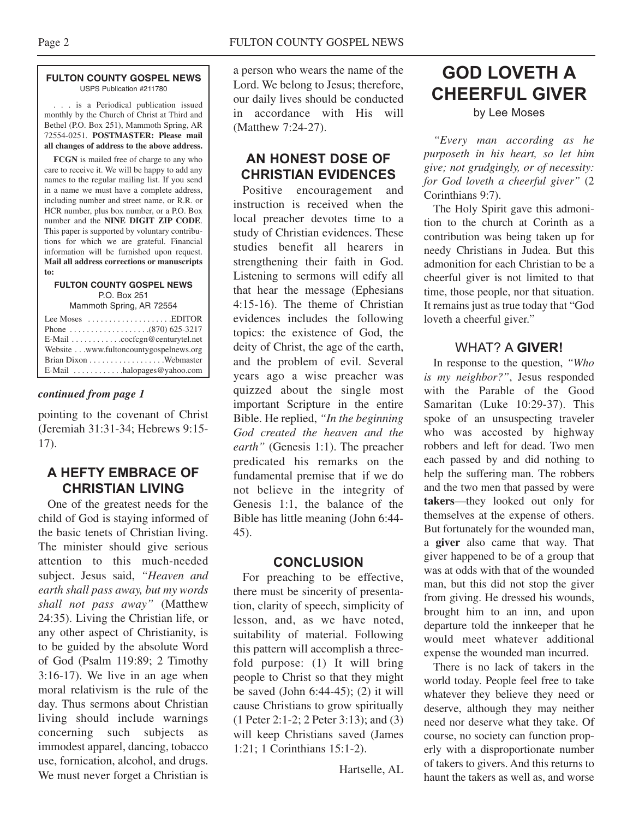#### **FULTON COUNTY GOSPEL NEWS** USPS Publication #211780

. . . is a Periodical publication issued monthly by the Church of Christ at Third and Bethel (P.O. Box 251), Mammoth Spring, AR 72554-0251. **POSTMASTER: Please mail all changes of address to the above address.**

**FCGN** is mailed free of charge to any who care to receive it. We will be happy to add any names to the regular mailing list. If you send in a name we must have a complete address, including number and street name, or R.R. or HCR number, plus box number, or a P.O. Box number and the **NINE DIGIT ZIP CODE**. This paper is supported by voluntary contributions for which we are grateful. Financial information will be furnished upon request. **Mail all address corrections or manuscripts to:**

#### **FULTON COUNTY GOSPEL NEWS** P.O. Box 251

Mammoth Spring, AR 72554

| Lee Moses $\dots\dots\dots\dots\dots\dots$ . EDITOR |
|-----------------------------------------------------|
|                                                     |
| E-Mail cocfcgn@centurytel.net                       |
| Website www.fultoncountygospelnews.org              |
|                                                     |
|                                                     |

#### *continued from page 1*

pointing to the covenant of Christ (Jeremiah 31:31-34; Hebrews 9:15- 17).

#### **A HEFTY EMBRACE OF CHRISTIAN LIVING**

One of the greatest needs for the child of God is staying informed of the basic tenets of Christian living. The minister should give serious attention to this much-needed subject. Jesus said, *"Heaven and earth shall pass away, but my words shall not pass away"* (Matthew 24:35). Living the Christian life, or any other aspect of Christianity, is to be guided by the absolute Word of God (Psalm 119:89; 2 Timothy 3:16-17). We live in an age when moral relativism is the rule of the day. Thus sermons about Christian living should include warnings concerning such subjects as immodest apparel, dancing, tobacco use, fornication, alcohol, and drugs. We must never forget a Christian is

a person who wears the name of the Lord. We belong to Jesus; therefore, our daily lives should be conducted in accordance with His will (Matthew 7:24-27).

#### **AN HONEST DOSE OF CHRISTIAN EVIDENCES**

Positive encouragement and instruction is received when the local preacher devotes time to a study of Christian evidences. These studies benefit all hearers in strengthening their faith in God. Listening to sermons will edify all that hear the message (Ephesians 4:15-16). The theme of Christian evidences includes the following topics: the existence of God, the deity of Christ, the age of the earth, and the problem of evil. Several years ago a wise preacher was quizzed about the single most important Scripture in the entire Bible. He replied, *"In the beginning God created the heaven and the earth*" (Genesis 1:1). The preacher predicated his remarks on the fundamental premise that if we do not believe in the integrity of Genesis 1:1, the balance of the Bible has little meaning (John 6:44- 45).

#### **CONCLUSION**

For preaching to be effective, there must be sincerity of presentation, clarity of speech, simplicity of lesson, and, as we have noted, suitability of material. Following this pattern will accomplish a threefold purpose: (1) It will bring people to Christ so that they might be saved (John 6:44-45); (2) it will cause Christians to grow spiritually (1 Peter 2:1-2; 2 Peter 3:13); and (3) will keep Christians saved (James 1:21; 1 Corinthians 15:1-2).

Hartselle, AL

# **GOD LOVETH A CHEERFUL GIVER**

by Lee Moses

*"Every man according as he purposeth in his heart, so let him give; not grudgingly, or of necessity: for God loveth a cheerful giver"* (2 Corinthians 9:7).

The Holy Spirit gave this admonition to the church at Corinth as a contribution was being taken up for needy Christians in Judea. But this admonition for each Christian to be a cheerful giver is not limited to that time, those people, nor that situation. It remains just as true today that "God loveth a cheerful giver."

#### WHAT? A **GIVER!**

In response to the question, *"Who is my neighbor?"*, Jesus responded with the Parable of the Good Samaritan (Luke 10:29-37). This spoke of an unsuspecting traveler who was accosted by highway robbers and left for dead. Two men each passed by and did nothing to help the suffering man. The robbers and the two men that passed by were **takers**—they looked out only for themselves at the expense of others. But fortunately for the wounded man, a **giver** also came that way. That giver happened to be of a group that was at odds with that of the wounded man, but this did not stop the giver from giving. He dressed his wounds, brought him to an inn, and upon departure told the innkeeper that he would meet whatever additional expense the wounded man incurred.

There is no lack of takers in the world today. People feel free to take whatever they believe they need or deserve, although they may neither need nor deserve what they take. Of course, no society can function properly with a disproportionate number of takers to givers. And this returns to haunt the takers as well as, and worse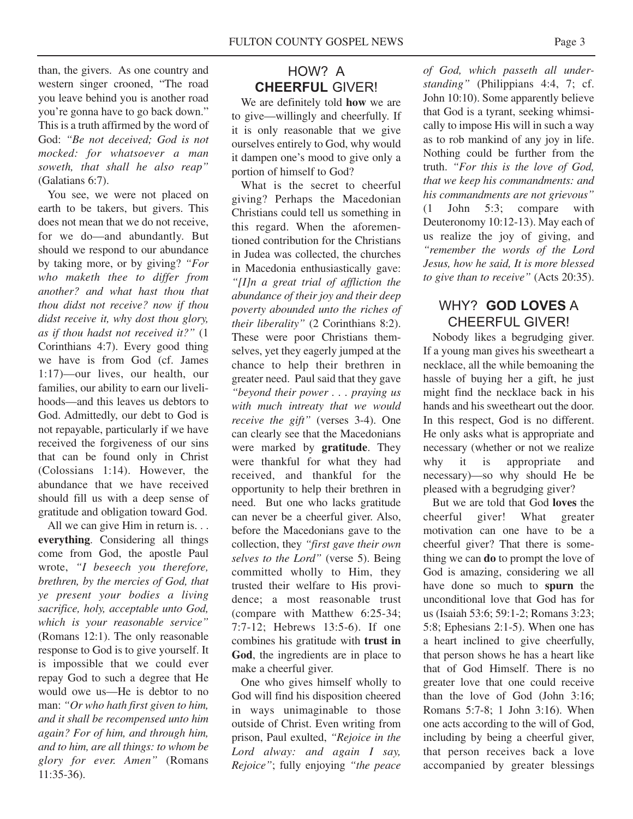than, the givers. As one country and western singer crooned, "The road you leave behind you is another road you're gonna have to go back down." This is a truth affirmed by the word of God: *"Be not deceived; God is not mocked: for whatsoever a man soweth, that shall he also reap"* (Galatians 6:7).

You see, we were not placed on earth to be takers, but givers. This does not mean that we do not receive, for we do—and abundantly. But should we respond to our abundance by taking more, or by giving? *"For who maketh thee to differ from another? and what hast thou that thou didst not receive? now if thou didst receive it, why dost thou glory, as if thou hadst not received it?"* (1 Corinthians 4:7). Every good thing we have is from God (cf. James 1:17)—our lives, our health, our families, our ability to earn our livelihoods—and this leaves us debtors to God. Admittedly, our debt to God is not repayable, particularly if we have received the forgiveness of our sins that can be found only in Christ (Colossians 1:14). However, the abundance that we have received should fill us with a deep sense of gratitude and obligation toward God.

All we can give Him in return is. . . **everything**. Considering all things come from God, the apostle Paul wrote, *"I beseech you therefore, brethren, by the mercies of God, that ye present your bodies a living sacrifice, holy, acceptable unto God, which is your reasonable service"* (Romans 12:1). The only reasonable response to God is to give yourself. It is impossible that we could ever repay God to such a degree that He would owe us—He is debtor to no man: *"Or who hath first given to him, and it shall be recompensed unto him again? For of him, and through him, and to him, are all things: to whom be glory for ever. Amen"* (Romans 11:35-36).

## HOW? A **CHEERFUL** GIVER!

We are definitely told **how** we are to give—willingly and cheerfully. If it is only reasonable that we give ourselves entirely to God, why would it dampen one's mood to give only a portion of himself to God?

What is the secret to cheerful giving? Perhaps the Macedonian Christians could tell us something in this regard. When the aforementioned contribution for the Christians in Judea was collected, the churches in Macedonia enthusiastically gave: *"[I]n a great trial of affliction the abundance of their joy and their deep poverty abounded unto the riches of their liberality"* (2 Corinthians 8:2). These were poor Christians themselves, yet they eagerly jumped at the chance to help their brethren in greater need. Paul said that they gave *"beyond their power . . . praying us with much intreaty that we would receive the gift"* (verses 3-4). One can clearly see that the Macedonians were marked by **gratitude**. They were thankful for what they had received, and thankful for the opportunity to help their brethren in need. But one who lacks gratitude can never be a cheerful giver. Also, before the Macedonians gave to the collection, they *"first gave their own selves to the Lord"* (verse 5). Being committed wholly to Him, they trusted their welfare to His providence; a most reasonable trust (compare with Matthew 6:25-34; 7:7-12; Hebrews 13:5-6). If one combines his gratitude with **trust in God**, the ingredients are in place to make a cheerful giver.

One who gives himself wholly to God will find his disposition cheered in ways unimaginable to those outside of Christ. Even writing from prison, Paul exulted, *"Rejoice in the Lord alway: and again I say, Rejoice"*; fully enjoying *"the peace*

*of God, which passeth all understanding"* (Philippians 4:4, 7; cf. John 10:10). Some apparently believe that God is a tyrant, seeking whimsically to impose His will in such a way as to rob mankind of any joy in life. Nothing could be further from the truth. *"For this is the love of God, that we keep his commandments: and his commandments are not grievous"* (1 John 5:3; compare with Deuteronomy 10:12-13). May each of us realize the joy of giving, and *"remember the words of the Lord Jesus, how he said, It is more blessed to give than to receive"* (Acts 20:35).

#### WHY? **GOD LOVES** A CHEERFUL GIVER!

Nobody likes a begrudging giver. If a young man gives his sweetheart a necklace, all the while bemoaning the hassle of buying her a gift, he just might find the necklace back in his hands and his sweetheart out the door. In this respect, God is no different. He only asks what is appropriate and necessary (whether or not we realize why it is appropriate and necessary)—so why should He be pleased with a begrudging giver?

But we are told that God **loves** the cheerful giver! What greater motivation can one have to be a cheerful giver? That there is something we can **do** to prompt the love of God is amazing, considering we all have done so much to **spurn** the unconditional love that God has for us (Isaiah 53:6; 59:1-2; Romans 3:23; 5:8; Ephesians 2:1-5). When one has a heart inclined to give cheerfully, that person shows he has a heart like that of God Himself. There is no greater love that one could receive than the love of God (John 3:16; Romans 5:7-8; 1 John 3:16). When one acts according to the will of God, including by being a cheerful giver, that person receives back a love accompanied by greater blessings